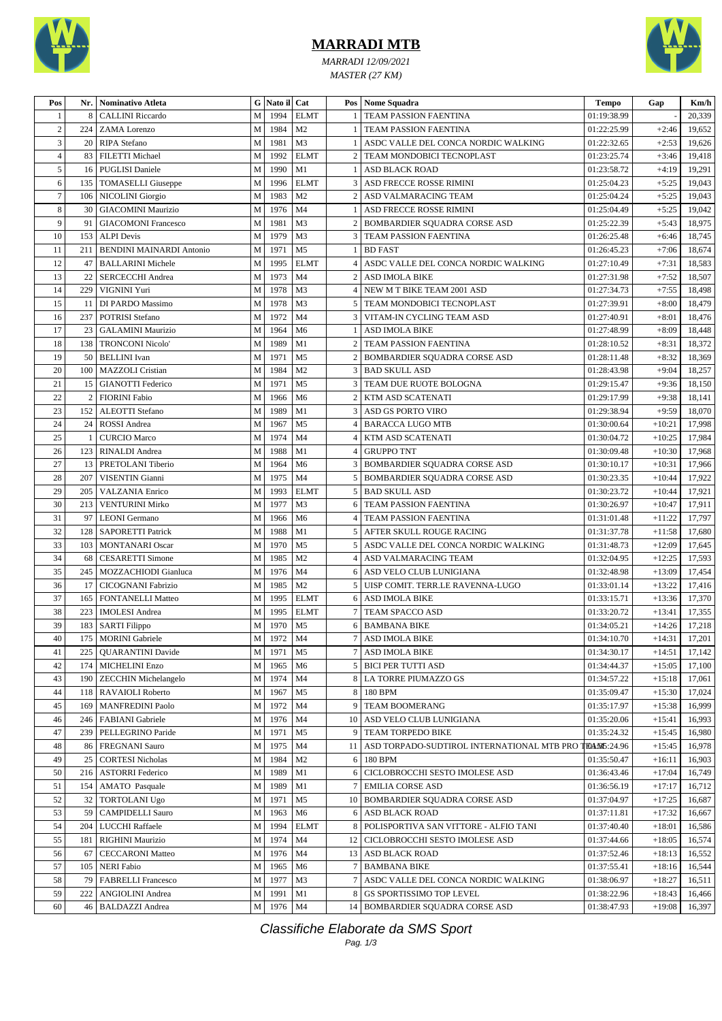

## **MARRADI MTB**

*MARRADI 12/09/2021 MASTER (27 KM)*



| Pos            | Nr.       | <b>Nominativo Atleta</b>                  |              | G Nato il Cat |                |                | Pos   Nome Squadra                                            | Tempo                         | Gap      | Km/h             |
|----------------|-----------|-------------------------------------------|--------------|---------------|----------------|----------------|---------------------------------------------------------------|-------------------------------|----------|------------------|
| 1              | 8         | <b>CALLINI Riccardo</b>                   | M            | 1994          | <b>ELMT</b>    |                | TEAM PASSION FAENTINA                                         | 01:19:38.99                   |          | 20,339           |
| $\sqrt{2}$     | 224       | <b>ZAMA</b> Lorenzo                       | M            | 1984          | M <sub>2</sub> |                | <b>TEAM PASSION FAENTINA</b>                                  | 01:22:25.99                   | $+2:46$  | 19,652           |
| 3              | 20        | RIPA Stefano                              | M            | 1981          | M <sub>3</sub> | -1             | ASDC VALLE DEL CONCA NORDIC WALKING                           | 01:22:32.65                   | $+2:53$  | 19,626           |
| $\overline{4}$ | 83        | <b>FILETTI</b> Michael                    | M            | 1992          | <b>ELMT</b>    | 2              | TEAM MONDOBICI TECNOPLAST                                     | 01:23:25.74                   | $+3:46$  | 19,418           |
| 5              | 16        | <b>PUGLISI Daniele</b>                    | M            | 1990          | M1             | 1              | ASD BLACK ROAD                                                | 01:23:58.72                   | $+4:19$  | 19,291           |
| 6              | 135       | <b>TOMASELLI</b> Giuseppe                 | M            | 1996          | <b>ELMT</b>    | $\overline{3}$ | ASD FRECCE ROSSE RIMINI                                       | 01:25:04.23                   | $+5:25$  | 19,043           |
| $\tau$         | 106       | NICOLINI Giorgio                          | M            | 1983          | M <sub>2</sub> | 2              | ASD VALMARACING TEAM                                          | 01:25:04.24                   | $+5:25$  | 19,043           |
| 8              | 30        | <b>GIACOMINI Maurizio</b>                 | $\mathbf{M}$ | 1976          | M <sub>4</sub> |                | ASD FRECCE ROSSE RIMINI                                       | 01:25:04.49                   | $+5:25$  | 19,042           |
| 9              | 91        | <b>GIACOMONI Francesco</b>                | M            | 1981          | M <sub>3</sub> | 2              | BOMBARDIER SQUADRA CORSE ASD                                  | 01:25:22.39                   | $+5:43$  | 18,975           |
| 10             | 153       | <b>ALPI</b> Devis                         | M            | 1979          | M <sub>3</sub> | 3              | <b>TEAM PASSION FAENTINA</b>                                  | 01:26:25.48                   | $+6:46$  | 18,745           |
| 11             | 211       | <b>BENDINI MAINARDI Antonio</b>           | M            | 1971          | M <sub>5</sub> | 1              | <b>BD FAST</b>                                                | 01:26:45.23                   | $+7:06$  | 18,674           |
| 12             | 47        | <b>BALLARINI Michele</b>                  | M            | 1995          | <b>ELMT</b>    | 4              | ASDC VALLE DEL CONCA NORDIC WALKING                           | 01:27:10.49                   | $+7:31$  | 18,583           |
| 13             | 22        | <b>SERCECCHI</b> Andrea                   | M            | 1973          | M <sub>4</sub> | $\overline{c}$ | <b>ASD IMOLA BIKE</b>                                         | 01:27:31.98                   | $+7:52$  | 18,507           |
| 14             | 229       | VIGNINI Yuri                              | M            | 1978          | M <sub>3</sub> |                | NEW M T BIKE TEAM 2001 ASD                                    | 01:27:34.73                   | $+7:55$  | 18,498           |
| 15             | 11        | DI PARDO Massimo                          | M            | 1978          | M <sub>3</sub> | 5              | TEAM MONDOBICI TECNOPLAST                                     | 01:27:39.91                   | $+8:00$  | 18,479           |
| 16             | 237       | <b>POTRISI Stefano</b>                    | M            | 1972          | M <sub>4</sub> |                | <b>3   VITAM-IN CYCLING TEAM ASD</b>                          | 01:27:40.91                   | $+8:01$  | 18,476           |
| 17             | 23        | <b>GALAMINI Maurizio</b>                  | M            | 1964          | M <sub>6</sub> | 1              | ASD IMOLA BIKE                                                | 01:27:48.99                   | $+8:09$  | 18,448           |
| 18             | 138       | <b>TRONCONI Nicolo'</b>                   | M            | 1989          | M1             | $\overline{2}$ | TEAM PASSION FAENTINA                                         | 01:28:10.52                   | $+8:31$  | 18,372           |
| 19             | 50        | <b>BELLINI</b> Ivan                       | M            | 1971          | M <sub>5</sub> | 2              | BOMBARDIER SQUADRA CORSE ASD                                  | 01:28:11.48                   | $+8:32$  | 18,369           |
| 20             | 100       | MAZZOLI Cristian                          | M            | 1984          | M <sub>2</sub> | 3              | <b>BAD SKULL ASD</b>                                          | 01:28:43.98                   | $+9:04$  | 18,257           |
| 21             | 15        | <b>GIANOTTI Federico</b>                  | M            | 1971          | M <sub>5</sub> | 3              | TEAM DUE RUOTE BOLOGNA                                        | 01:29:15.47                   | $+9:36$  | 18,150           |
| 22             | 2         | <b>FIORINI</b> Fabio                      | M            | 1966          | M <sub>6</sub> | 2              | KTM ASD SCATENATI                                             | 01:29:17.99                   | $+9:38$  | 18,141           |
| 23             | 152       | <b>ALEOTTI</b> Stefano                    | M            | 1989          | M1             |                | 3   ASD GS PORTO VIRO                                         | 01:29:38.94                   | $+9:59$  | 18,070           |
| 24             | 24        | ROSSI Andrea                              | $\mathbf M$  | 1967          | M <sub>5</sub> |                | <b>BARACCA LUGO MTB</b>                                       | 01:30:00.64                   | $+10:21$ | 17,998           |
| 25             | 1         | <b>CURCIO Marco</b>                       | M            | 1974          | M <sub>4</sub> |                | KTM ASD SCATENATI                                             | 01:30:04.72                   | $+10:25$ | 17,984           |
| 26             | 123       | <b>RINALDI</b> Andrea                     | M            | 1988          | M1             | 4              | <b>GRUPPO TNT</b>                                             | 01:30:09.48                   | $+10:30$ | 17,968           |
| 27             | 13        | PRETOLANI Tiberio                         | M            | 1964          | M <sub>6</sub> | 3              | <b>BOMBARDIER SQUADRA CORSE ASD</b>                           |                               | $+10:31$ | 17,966           |
| 28             | 207       |                                           | M            | 1975          | M <sub>4</sub> |                |                                                               | 01:30:10.17                   |          |                  |
| 29             | 205       | VISENTIN Gianni<br><b>VALZANIA Enrico</b> | M            | 1993          | <b>ELMT</b>    |                | 5   BOMBARDIER SQUADRA CORSE ASD<br>5   BAD SKULL ASD         | 01:30:23.35<br>01:30:23.72    | $+10:44$ | 17,922<br>17,921 |
|                |           |                                           | $\mathbf{M}$ |               |                |                |                                                               |                               | $+10:44$ |                  |
| 30             | 213<br>97 | <b>VENTURINI Mirko</b>                    | M            | 1977          | M <sub>3</sub> |                | 6 TEAM PASSION FAENTINA                                       | 01:30:26.97                   | $+10:47$ | 17,911           |
| 31             |           | <b>LEONI</b> Germano                      |              | 1966          | M <sub>6</sub> | 4              | TEAM PASSION FAENTINA                                         | 01:31:01.48                   | $+11:22$ | 17,797           |
| 32             | 128       | <b>SAPORETTI Patrick</b>                  | M            | 1988          | M1             | 5              | AFTER SKULL ROUGE RACING                                      | 01:31:37.78                   | $+11:58$ | 17,680           |
| 33             | 103       | <b>MONTANARI</b> Oscar                    | M            | 1970          | M <sub>5</sub> | 5              | ASDC VALLE DEL CONCA NORDIC WALKING                           | 01:31:48.73                   | $+12:09$ | 17,645           |
| 34             | 68        | <b>CESARETTI Simone</b>                   | M            | 1985          | M <sub>2</sub> | 4              | ASD VALMARACING TEAM                                          | 01:32:04.95                   | $+12:25$ | 17,593           |
| 35             | 245       | MOZZACHIODI Gianluca                      | M            | 1976          | M <sub>4</sub> |                | 6 ASD VELO CLUB LUNIGIANA                                     | 01:32:48.98                   | $+13:09$ | 17,454           |
| 36             | 17        | CICOGNANI Fabrizio                        | M            | 1985          | M <sub>2</sub> | 5              | UISP COMIT. TERR.LE RAVENNA-LUGO                              | 01:33:01.14                   | $+13:22$ | 17,416           |
| 37             | 165       | FONTANELLI Matteo                         | M            | 1995          | <b>ELMT</b>    |                | 6 ASD IMOLA BIKE                                              | 01:33:15.71                   | $+13:36$ | 17,370           |
| 38             | 223       | <b>IMOLESI</b> Andrea                     | M            | 1995          | <b>ELMT</b>    |                | TEAM SPACCO ASD                                               | 01:33:20.72                   | $+13:41$ | 17,355           |
| 39             | 183       | <b>SARTI Filippo</b>                      | M            | 1970          | M <sub>5</sub> | 6              | <b>BAMBANA BIKE</b>                                           | 01:34:05.21                   | $+14:26$ | 17,218           |
| 40             |           | 175 MORINI Gabriele                       |              | M 1972 M4     |                |                | <b>7 ASD IMOLA BIKE</b>                                       | $01\!\!:\!\!34\!\!:\!\!10.70$ | $+14:31$ | 17,201           |
| 41             | 225       | <b>QUARANTINI</b> Davide                  | $\mathbf M$  | 1971          | M <sub>5</sub> |                | 7 ASD IMOLA BIKE                                              | 01:34:30.17                   | $+14:51$ | 17,142           |
| 42             | 174       | <b>MICHELINI Enzo</b>                     | M            | 1965          | M <sub>6</sub> |                | 5   BICI PER TUTTI ASD                                        | 01:34:44.37                   | $+15:05$ | 17,100           |
| 43             | 190       | ZECCHIN Michelangelo                      | $\mathbf M$  | 1974          | M <sub>4</sub> |                | 8 LA TORRE PIUMAZZO GS                                        | 01:34:57.22                   | $+15:18$ | 17,061           |
| 44             | 118       | RAVAIOLI Roberto                          | M            | 1967          | M <sub>5</sub> | 8 <sup>1</sup> | 180 BPM                                                       | 01:35:09.47                   | $+15:30$ | 17,024           |
| 45             | 169       | <b>MANFREDINI Paolo</b>                   | M            | 1972          | M4             | 9              | <b>TEAM BOOMERANG</b>                                         | 01:35:17.97                   | $+15:38$ | 16,999           |
| 46             | 246       | FABIANI Gabriele                          | $\mathbf M$  | 1976          | M <sub>4</sub> |                | 10 ASD VELO CLUB LUNIGIANA                                    | 01:35:20.06                   | $+15:41$ | 16,993           |
| 47             | 239       | PELLEGRINO Paride                         | M            | 1971          | M <sub>5</sub> |                | 9 TEAM TORPEDO BIKE                                           | 01:35:24.32                   | $+15:45$ | 16,980           |
| 48             | 86        | <b>FREGNANI Sauro</b>                     | M            | 1975          | M <sub>4</sub> |                | 11   ASD TORPADO-SUDTIROL INTERNATIONAL MTB PRO TEANS : 24.96 |                               | $+15:45$ | 16,978           |
| 49             | 25        | <b>CORTESI Nicholas</b>                   | $\mathbf M$  | 1984          | M <sub>2</sub> |                | 6 180 BPM                                                     | 01:35:50.47                   | $+16:11$ | 16,903           |
| 50             | 216       | <b>ASTORRI Federico</b>                   | $\mathbf M$  | 1989          | M1             | 6              | CICLOBROCCHI SESTO IMOLESE ASD                                | 01:36:43.46                   | $+17:04$ | 16,749           |
| 51             | 154       | <b>AMATO</b> Pasquale                     | M            | 1989          | M1             |                | <b>EMILIA CORSE ASD</b>                                       | 01:36:56.19                   | $+17:17$ | 16,712           |
| 52             | 32        | <b>TORTOLANI Ugo</b>                      | M            | 1971          | M <sub>5</sub> | 10             | <b>BOMBARDIER SQUADRA CORSE ASD</b>                           | 01:37:04.97                   | $+17:25$ | 16,687           |
| 53             | 59        | <b>CAMPIDELLI Sauro</b>                   | $\mathbf M$  | 1963          | M <sub>6</sub> |                | 6 ASD BLACK ROAD                                              | 01:37:11.81                   | $+17:32$ | 16,667           |
| 54             | 204       | <b>LUCCHI</b> Raffaele                    | $\mathbf M$  | 1994          | <b>ELMT</b>    |                | 8   POLISPORTIVA SAN VITTORE - ALFIO TANI                     | 01:37:40.40                   | $+18:01$ | 16,586           |
| 55             | 181       | <b>RIGHINI Maurizio</b>                   | M            | 1974          | M <sub>4</sub> |                | 12   CICLOBROCCHI SESTO IMOLESE ASD                           | 01:37:44.66                   | $+18:05$ | 16,574           |
| 56             | 67        | <b>CECCARONI Matteo</b>                   | $\mathbf M$  | 1976          | M <sub>4</sub> |                | 13 ASD BLACK ROAD                                             | 01:37:52.46                   | $+18:13$ | 16,552           |
| 57             | 105       | <b>NERI Fabio</b>                         | M            | 1965          | M <sub>6</sub> |                | <b>BAMBANA BIKE</b>                                           | 01:37:55.41                   | $+18:16$ | 16,544           |
| 58             | 79        | <b>FABRELLI Francesco</b>                 | $\mathbf M$  | 1977          | M3             | 7              | ASDC VALLE DEL CONCA NORDIC WALKING                           | 01:38:06.97                   | $+18:27$ | 16,511           |
| 59             | 222       | ANGIOLINI Andrea                          | M            | 1991          | M1             | 8              | GS SPORTISSIMO TOP LEVEL                                      | 01:38:22.96                   | $+18:43$ | 16,466           |
| 60             | 46        | <b>BALDAZZI</b> Andrea                    | M            | 1976 M4       |                |                | 14 BOMBARDIER SQUADRA CORSE ASD                               | 01:38:47.93                   | $+19:08$ | 16,397           |

Classifiche Elaborate da SMS Sport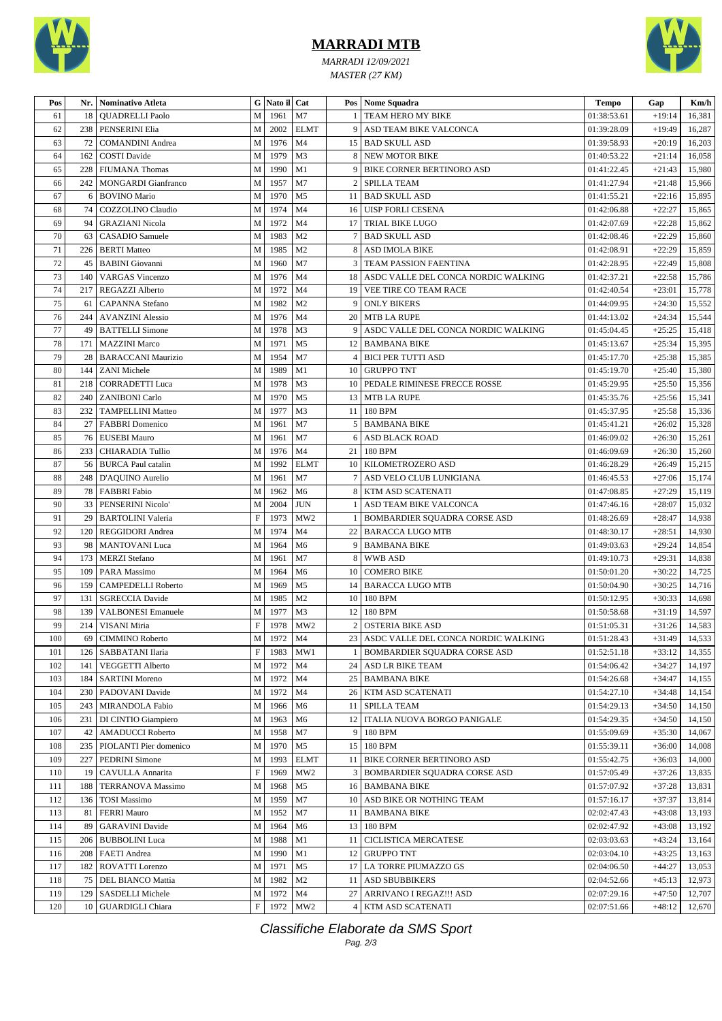

## **MARRADI MTB**

*MARRADI 12/09/2021 MASTER (27 KM)*



| Pos | Nr. | Nominativo Atleta          |                           | G Nato il Cat |                 |                | Pos   Nome Squadra                       | Tempo       | Gap      | Km/h             |
|-----|-----|----------------------------|---------------------------|---------------|-----------------|----------------|------------------------------------------|-------------|----------|------------------|
| 61  | 18  | <b>OUADRELLI Paolo</b>     | M                         | 1961          | M7              |                | TEAM HERO MY BIKE                        | 01:38:53.61 | $+19:14$ | 16,381           |
| 62  | 238 | PENSERINI Elia             | M                         | 2002          | <b>ELMT</b>     |                | 9 ASD TEAM BIKE VALCONCA                 | 01:39:28.09 | $+19:49$ | 16,287           |
| 63  | 72  | <b>COMANDINI</b> Andrea    | М                         | 1976          | M <sub>4</sub>  |                | 15   BAD SKULL ASD                       | 01:39:58.93 | $+20:19$ | 16,203           |
| 64  | 162 | <b>COSTI Davide</b>        | M                         | 1979          | M <sub>3</sub>  |                | 8 NEW MOTOR BIKE                         | 01:40:53.22 | $+21:14$ | 16,058           |
| 65  | 228 | <b>FIUMANA</b> Thomas      | М                         | 1990          | M1              |                | 9   BIKE CORNER BERTINORO ASD            | 01:41:22.45 | $+21:43$ | 15,980           |
| 66  | 242 | <b>MONGARDI</b> Gianfranco | M                         | 1957          | M7              | $\overline{2}$ | <b>SPILLA TEAM</b>                       | 01:41:27.94 | $+21:48$ | 15,966           |
| 67  | 6   | <b>BOVINO Mario</b>        | M                         | 1970          | M <sub>5</sub>  |                | 11   BAD SKULL ASD                       | 01:41:55.21 | $+22:16$ | 15,895           |
| 68  | 74  | COZZOLINO Claudio          | $\mathbf M$               | 1974          | M <sub>4</sub>  |                | 16 UISP FORLI CESENA                     | 01:42:06.88 | $+22:27$ | 15,865           |
| 69  | 94  | <b>GRAZIANI Nicola</b>     | М                         | 1972          | M <sub>4</sub>  | 17             | <b>TRIAL BIKE LUGO</b>                   | 01:42:07.69 | $+22:28$ | 15,862           |
| 70  | 63  | CASADIO Samuele            | M                         | 1983          | M <sub>2</sub>  |                | 7 BAD SKULL ASD                          | 01:42:08.46 | $+22:29$ | 15,860           |
| 71  | 226 | <b>BERTI Matteo</b>        | M                         | 1985          | M <sub>2</sub>  |                | 8 ASD IMOLA BIKE                         | 01:42:08.91 | $+22:29$ | 15,859           |
| 72  | 45  | <b>BABINI</b> Giovanni     | M                         | 1960          | M7              |                | 3 TEAM PASSION FAENTINA                  | 01:42:28.95 | $+22:49$ | 15,808           |
| 73  | 140 | <b>VARGAS Vincenzo</b>     | $\mathbf M$               | 1976          | M <sub>4</sub>  |                | 18 ASDC VALLE DEL CONCA NORDIC WALKING   | 01:42:37.21 | $+22:58$ | 15,786           |
| 74  | 217 | REGAZZI Alberto            | M                         | 1972          | M4              |                | 19   VEE TIRE CO TEAM RACE               | 01:42:40.54 | $+23:01$ | 15,778           |
| 75  | 61  | <b>CAPANNA</b> Stefano     | M                         | 1982          | M <sub>2</sub>  |                | 9   ONLY BIKERS                          | 01:44:09.95 | $+24:30$ | 15,552           |
| 76  | 244 | <b>AVANZINI Alessio</b>    | M                         | 1976          | M <sub>4</sub>  |                | 20 MTB LA RUPE                           | 01:44:13.02 | $+24:34$ | 15,544           |
| 77  | 49  | <b>BATTELLI Simone</b>     | M                         | 1978          | M <sub>3</sub>  |                | 9 ASDC VALLE DEL CONCA NORDIC WALKING    | 01:45:04.45 | $+25:25$ | 15,418           |
| 78  | 171 | <b>MAZZINI</b> Marco       | M                         | 1971          | M <sub>5</sub>  |                | 12   BAMBANA BIKE                        | 01:45:13.67 | $+25:34$ | 15,395           |
| 79  | 28  | <b>BARACCANI Maurizio</b>  | $\mathbf M$               | 1954          | M7              |                | <b>4 BICI PER TUTTI ASD</b>              | 01:45:17.70 | $+25:38$ | 15,385           |
| 80  | 144 | <b>ZANI</b> Michele        | M                         | 1989          | M1              |                | 10 GRUPPO TNT                            | 01:45:19.70 | $+25:40$ | 15,380           |
| 81  | 218 | <b>CORRADETTI Luca</b>     | M                         | 1978          | M <sub>3</sub>  |                | 10   PEDALE RIMINESE FRECCE ROSSE        | 01:45:29.95 | $+25:50$ | 15,356           |
| 82  | 240 | <b>ZANIBONI</b> Carlo      | М                         | 1970          | M <sub>5</sub>  |                | 13   MTB LA RUPE                         | 01:45:35.76 | $+25:56$ | 15,341           |
| 83  | 232 | <b>TAMPELLINI Matteo</b>   | M                         | 1977          | M <sub>3</sub>  |                | 11 180 BPM                               | 01:45:37.95 | $+25:58$ | 15,336           |
| 84  | 27  | <b>FABBRI</b> Domenico     | M                         | 1961          | M7              |                | 5 BAMBANA BIKE                           | 01:45:41.21 | $+26:02$ | 15,328           |
| 85  | 76  | <b>EUSEBI</b> Mauro        | M                         | 1961          | M7              | 6              | <b>ASD BLACK ROAD</b>                    | 01:46:09.02 | $+26:30$ | 15,261           |
| 86  | 233 | <b>CHIARADIA Tullio</b>    | M                         | 1976          | M <sub>4</sub>  |                | 21 180 BPM                               | 01:46:09.69 | $+26:30$ | 15,260           |
| 87  | 56  | <b>BURCA Paul catalin</b>  | M                         | 1992          | <b>ELMT</b>     |                | 10   KILOMETROZERO ASD                   | 01:46:28.29 | $+26:49$ | 15,215           |
| 88  | 248 | D'AQUINO Aurelio           | М                         | 1961          | M7              |                | 7 ASD VELO CLUB LUNIGIANA                | 01:46:45.53 | $+27:06$ | 15,174           |
| 89  | 78  | <b>FABBRI</b> Fabio        | M                         | 1962          | M <sub>6</sub>  |                | 8 KTM ASD SCATENATI                      | 01:47:08.85 | $+27:29$ | 15,119           |
| 90  | 33  | PENSERINI Nicolo'          | M                         | 2004          | <b>JUN</b>      |                | 1 ASD TEAM BIKE VALCONCA                 | 01:47:46.16 | $+28:07$ | 15,032           |
| 91  | 29  | <b>BARTOLINI Valeria</b>   | $\boldsymbol{\mathrm{F}}$ | 1973          | MW <sub>2</sub> |                | <b>BOMBARDIER SQUADRA CORSE ASD</b>      | 01:48:26.69 | $+28:47$ | 14,938           |
| 92  | 120 | <b>REGGIDORI</b> Andrea    | $\mathbf M$               | 1974          | M <sub>4</sub>  |                | 22 BARACCA LUGO MTB                      | 01:48:30.17 | $+28:51$ | 14,930           |
| 93  | 98  | <b>MANTOVANI</b> Luca      | M                         | 1964          | M6              |                | 9 BAMBANA BIKE                           | 01:49:03.63 | $+29:24$ | 14,854           |
| 94  | 173 | <b>MERZI</b> Stefano       | $\mathbf M$               | 1961          | M7              |                | 8 WWB ASD                                | 01:49:10.73 | $+29:31$ | 14,838           |
| 95  | 109 | PARA Massimo               | М                         | 1964          | M <sub>6</sub>  |                | 10 COMERO BIKE                           | 01:50:01.20 | $+30:22$ | 14,725           |
| 96  | 159 | CAMPEDELLI Roberto         | М                         | 1969          | M <sub>5</sub>  |                | 14   BARACCA LUGO MTB                    | 01:50:04.90 | $+30:25$ | 14,716           |
| 97  | 131 | <b>SGRECCIA Davide</b>     | M                         | 1985          | M <sub>2</sub>  |                | 10 180 BPM                               | 01:50:12.95 | $+30:33$ | 14,698           |
| 98  | 139 | <b>VALBONESI</b> Emanuele  | M                         | 1977          | M <sub>3</sub>  | 12             | 180 BPM                                  | 01:50:58.68 | $+31:19$ | 14,597           |
| 99  | 214 | VISANI Miria               | $\mathbf F$               | 1978          | MW <sub>2</sub> |                | 2 OSTERIA BIKE ASD                       | 01:51:05.31 | $+31:26$ | 14,583           |
| 100 | 69  | CIMMINO Roberto            |                           | M 1972 M4     |                 |                | 23   ASDC VALLE DEL CONCA NORDIC WALKING | 01:51:28.43 | $+31:49$ | 14,533           |
| 101 | 126 | <b>SABBATANI Ilaria</b>    | $\boldsymbol{\mathrm{F}}$ | 1983          | MW1             |                | <b>BOMBARDIER SQUADRA CORSE ASD</b>      | 01:52:51.18 | $+33:12$ | 14,355           |
| 102 | 141 | <b>VEGGETTI Alberto</b>    | М                         | 1972          | M <sub>4</sub>  |                | 24 ASD LR BIKE TEAM                      | 01:54:06.42 | $+34:27$ | 14,197           |
| 103 | 184 | <b>SARTINI Moreno</b>      | M                         | 1972          | M <sub>4</sub>  |                | 25   BAMBANA BIKE                        | 01:54:26.68 | $+34:47$ | 14,155           |
| 104 | 230 | PADOVANI Davide            | М                         | 1972          | M4              |                | 26   KTM ASD SCATENATI                   | 01:54:27.10 | $+34:48$ | 14,154           |
| 105 | 243 | MIRANDOLA Fabio            | M                         | 1966          | M <sub>6</sub>  |                | 11   SPILLA TEAM                         | 01:54:29.13 | $+34:50$ | 14,150           |
| 106 | 231 | DI CINTIO Giampiero        | M                         | 1963          | M6              |                | 12   ITALIA NUOVA BORGO PANIGALE         | 01:54:29.35 | $+34:50$ | 14,150           |
| 107 | 42  | <b>AMADUCCI</b> Roberto    | М                         | 1958          | M7              |                | 9 180 BPM                                | 01:55:09.69 | $+35:30$ | 14,067           |
| 108 | 235 | PIOLANTI Pier domenico     | М                         | 1970          | M <sub>5</sub>  |                | 15 180 BPM                               | 01:55:39.11 | $+36:00$ | 14,008           |
| 109 | 227 | <b>PEDRINI</b> Simone      | M                         | 1993          | <b>ELMT</b>     |                | 11 BIKE CORNER BERTINORO ASD             | 01:55:42.75 | $+36:03$ | 14,000           |
| 110 | 19  | CAVULLA Annarita           | $\mathbf F$               | 1969          | MW <sub>2</sub> |                | 3   BOMBARDIER SQUADRA CORSE ASD         | 01:57:05.49 | $+37:26$ | 13,835           |
| 111 | 188 | <b>TERRANOVA Massimo</b>   | M                         | 1968          | M <sub>5</sub>  |                | <b>16 BAMBANA BIKE</b>                   | 01:57:07.92 | $+37:28$ | 13,831           |
| 112 | 136 | <b>TOSI Massimo</b>        | M                         | 1959          | M7              |                | 10 ASD BIKE OR NOTHING TEAM              | 01:57:16.17 | $+37:37$ | 13,814           |
| 113 | 81  | <b>FERRI Mauro</b>         | М                         | 1952          | M7              |                | 11   BAMBANA BIKE                        | 02:02:47.43 | $+43:08$ | 13,193           |
| 114 | 89  | <b>GARAVINI</b> Davide     | М                         | 1964          | M <sub>6</sub>  |                | 13 180 BPM                               | 02:02:47.92 | $+43:08$ |                  |
| 115 | 206 | <b>BUBBOLINI</b> Luca      | M                         | 1988          | M1              |                | 11   CICLISTICA MERCATESE                | 02:03:03.63 | $+43:24$ | 13,192<br>13,164 |
|     |     |                            |                           |               | M1              |                |                                          |             |          |                  |
| 116 | 208 | <b>FAETI</b> Andrea        | M                         | 1990          |                 |                | 12 GRUPPO TNT                            | 02:03:04.10 | $+43:25$ | 13,163           |
| 117 | 182 | ROVATTI Lorenzo            | М                         | 1971          | M5              |                | 17 LA TORRE PIUMAZZO GS                  | 02:04:06.50 | $+44:27$ | 13,053           |
| 118 | 75  | DEL BIANCO Mattia          | M                         | 1982          | M <sub>2</sub>  |                | 11   ASD SBUBBIKERS                      | 02:04:52.66 | $+45:13$ | 12,973           |
| 119 | 129 | SASDELLI Michele           | М                         | 1972          | M <sub>4</sub>  |                | 27   ARRIVANO I REGAZ!!! ASD             | 02:07:29.16 | $+47:50$ | 12,707           |
| 120 | 10  | <b>GUARDIGLI Chiara</b>    | F                         | 1972          | MW <sub>2</sub> |                | 4   KTM ASD SCATENATI                    | 02:07:51.66 | $+48:12$ | 12,670           |

Classifiche Elaborate da SMS Sport